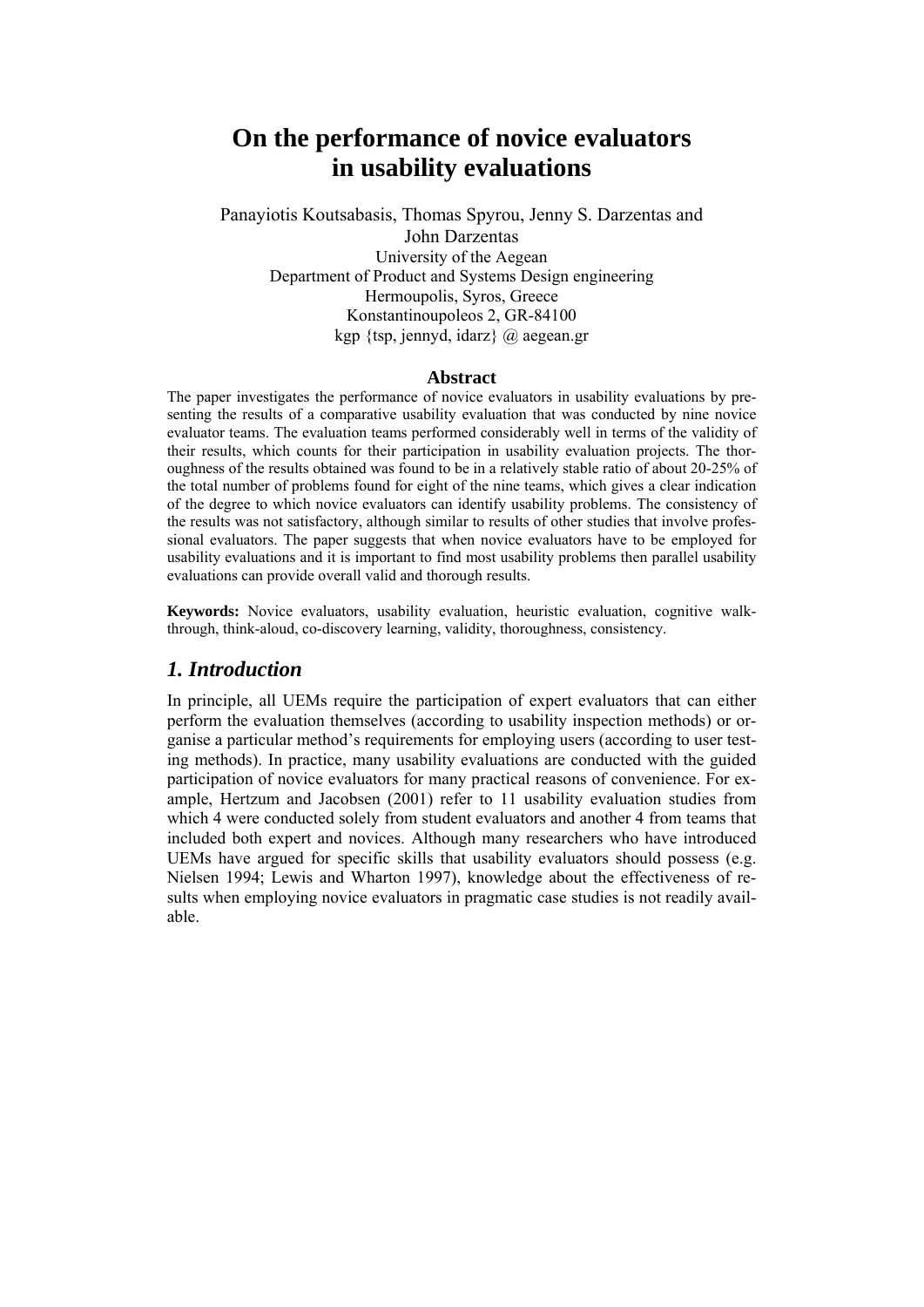# **On the performance of novice evaluators in usability evaluations**

Panayiotis Koutsabasis, Thomas Spyrou, Jenny S. Darzentas and John Darzentas University of the Aegean Department of Product and Systems Design engineering Hermoupolis, Syros, Greece Konstantinoupoleos 2, GR-84100 kgp {tsp, jennyd, idarz}  $\omega$  aegean.gr

#### **Abstract**

The paper investigates the performance of novice evaluators in usability evaluations by presenting the results of a comparative usability evaluation that was conducted by nine novice evaluator teams. The evaluation teams performed considerably well in terms of the validity of their results, which counts for their participation in usability evaluation projects. The thoroughness of the results obtained was found to be in a relatively stable ratio of about 20-25% of the total number of problems found for eight of the nine teams, which gives a clear indication of the degree to which novice evaluators can identify usability problems. The consistency of the results was not satisfactory, although similar to results of other studies that involve professional evaluators. The paper suggests that when novice evaluators have to be employed for usability evaluations and it is important to find most usability problems then parallel usability evaluations can provide overall valid and thorough results.

**Keywords:** Novice evaluators, usability evaluation, heuristic evaluation, cognitive walkthrough, think-aloud, co-discovery learning, validity, thoroughness, consistency.

### *1. Introduction*

In principle, all UEMs require the participation of expert evaluators that can either perform the evaluation themselves (according to usability inspection methods) or organise a particular method's requirements for employing users (according to user testing methods). In practice, many usability evaluations are conducted with the guided participation of novice evaluators for many practical reasons of convenience. For example, Hertzum and Jacobsen (2001) refer to 11 usability evaluation studies from which 4 were conducted solely from student evaluators and another 4 from teams that included both expert and novices. Although many researchers who have introduced UEMs have argued for specific skills that usability evaluators should possess (e.g. Nielsen 1994; Lewis and Wharton 1997), knowledge about the effectiveness of results when employing novice evaluators in pragmatic case studies is not readily available.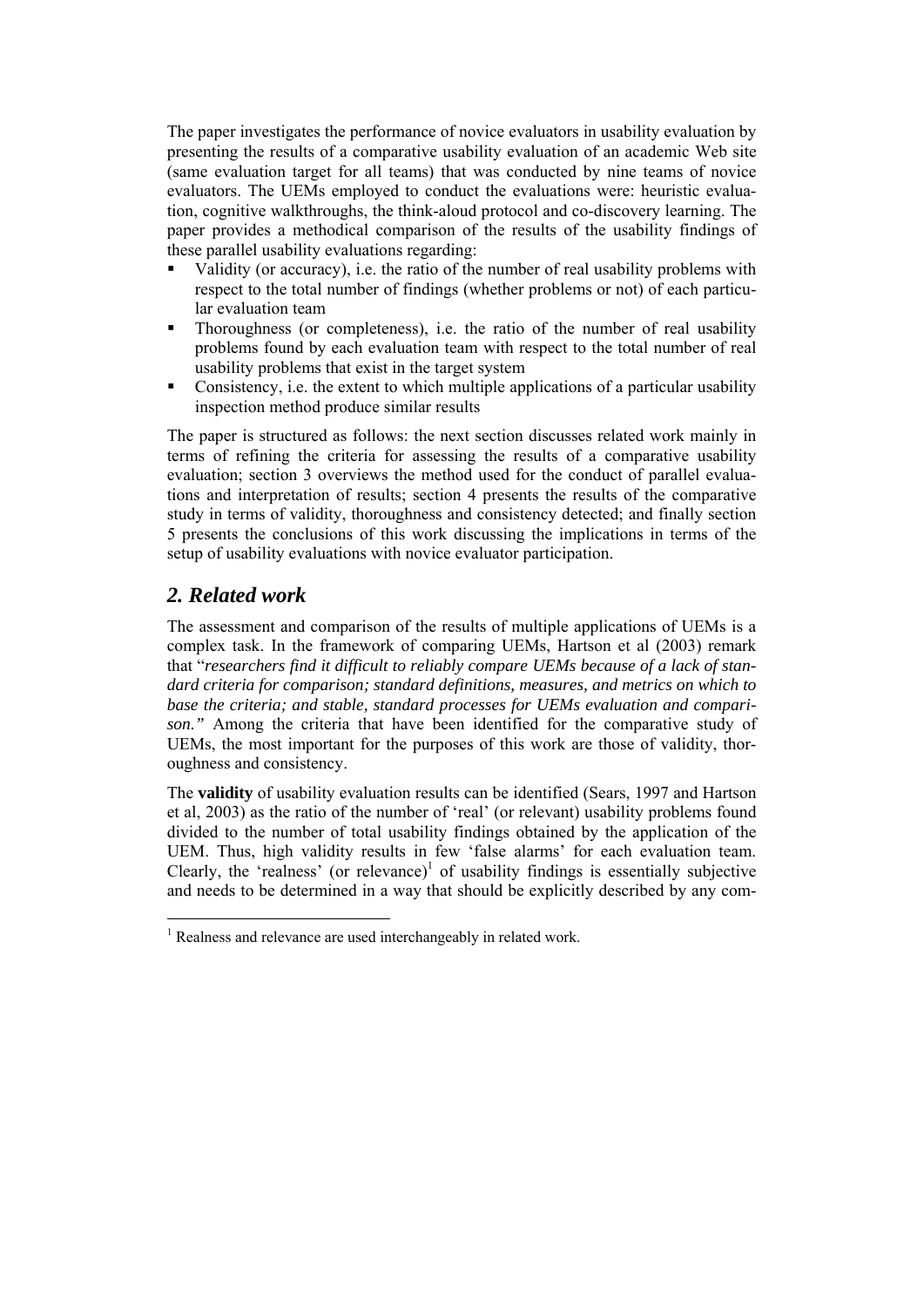The paper investigates the performance of novice evaluators in usability evaluation by presenting the results of a comparative usability evaluation of an academic Web site (same evaluation target for all teams) that was conducted by nine teams of novice evaluators. The UEMs employed to conduct the evaluations were: heuristic evaluation, cognitive walkthroughs, the think-aloud protocol and co-discovery learning. The paper provides a methodical comparison of the results of the usability findings of these parallel usability evaluations regarding:

- Validity (or accuracy), i.e. the ratio of the number of real usability problems with respect to the total number of findings (whether problems or not) of each particular evaluation team
- Thoroughness (or completeness), i.e. the ratio of the number of real usability problems found by each evaluation team with respect to the total number of real usability problems that exist in the target system
- Consistency, i.e. the extent to which multiple applications of a particular usability inspection method produce similar results

The paper is structured as follows: the next section discusses related work mainly in terms of refining the criteria for assessing the results of a comparative usability evaluation; section 3 overviews the method used for the conduct of parallel evaluations and interpretation of results; section 4 presents the results of the comparative study in terms of validity, thoroughness and consistency detected; and finally section 5 presents the conclusions of this work discussing the implications in terms of the setup of usability evaluations with novice evaluator participation.

# *2. Related work*

1

The assessment and comparison of the results of multiple applications of UEMs is a complex task. In the framework of comparing UEMs, Hartson et al (2003) remark that "*researchers find it difficult to reliably compare UEMs because of a lack of standard criteria for comparison; standard definitions, measures, and metrics on which to base the criteria; and stable, standard processes for UEMs evaluation and comparison."* Among the criteria that have been identified for the comparative study of UEMs, the most important for the purposes of this work are those of validity, thoroughness and consistency.

The **validity** of usability evaluation results can be identified (Sears, 1997 and Hartson et al, 2003) as the ratio of the number of 'real' (or relevant) usability problems found divided to the number of total usability findings obtained by the application of the UEM. Thus, high validity results in few 'false alarms' for each evaluation team. Clearly, the 'realness' (or relevance)<sup>1</sup> of usability findings is essentially subjective and needs to be determined in a way that should be explicitly described by any com-

<sup>&</sup>lt;sup>1</sup> Realness and relevance are used interchangeably in related work.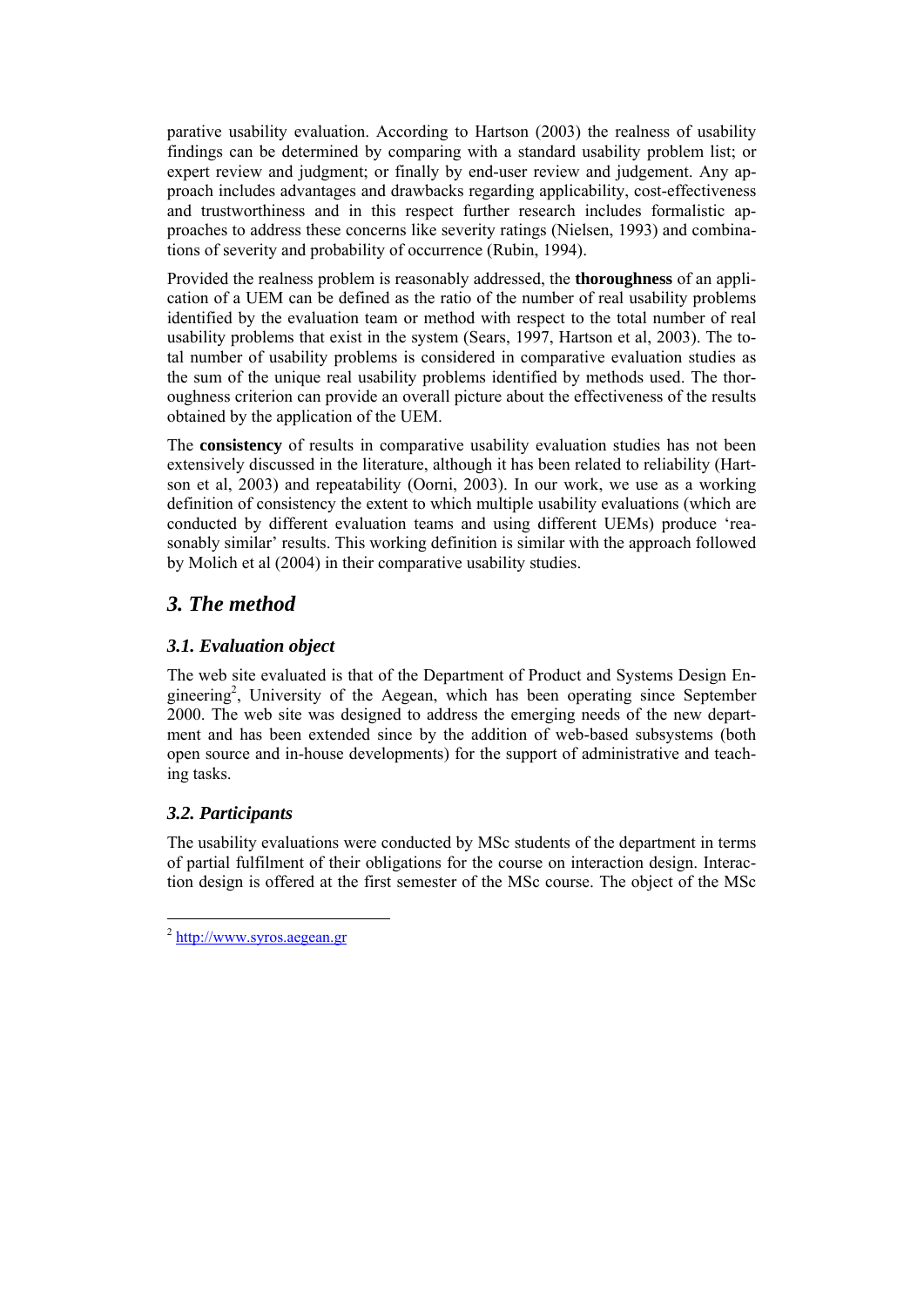parative usability evaluation. According to Hartson (2003) the realness of usability findings can be determined by comparing with a standard usability problem list; or expert review and judgment; or finally by end-user review and judgement. Any approach includes advantages and drawbacks regarding applicability, cost-effectiveness and trustworthiness and in this respect further research includes formalistic approaches to address these concerns like severity ratings (Nielsen, 1993) and combinations of severity and probability of occurrence (Rubin, 1994).

Provided the realness problem is reasonably addressed, the **thoroughness** of an application of a UEM can be defined as the ratio of the number of real usability problems identified by the evaluation team or method with respect to the total number of real usability problems that exist in the system (Sears, 1997, Hartson et al, 2003). The total number of usability problems is considered in comparative evaluation studies as the sum of the unique real usability problems identified by methods used. The thoroughness criterion can provide an overall picture about the effectiveness of the results obtained by the application of the UEM.

The **consistency** of results in comparative usability evaluation studies has not been extensively discussed in the literature, although it has been related to reliability (Hartson et al, 2003) and repeatability (Oorni, 2003). In our work, we use as a working definition of consistency the extent to which multiple usability evaluations (which are conducted by different evaluation teams and using different UEMs) produce 'reasonably similar' results. This working definition is similar with the approach followed by Molich et al (2004) in their comparative usability studies.

# *3. The method*

## *3.1. Evaluation object*

The web site evaluated is that of the Department of Product and Systems Design Engineering<sup>2</sup>, University of the Aegean, which has been operating since September 2000. The web site was designed to address the emerging needs of the new department and has been extended since by the addition of web-based subsystems (both open source and in-house developments) for the support of administrative and teaching tasks.

# *3.2. Participants*

1

The usability evaluations were conducted by MSc students of the department in terms of partial fulfilment of their obligations for the course on interaction design. Interaction design is offered at the first semester of the MSc course. The object of the MSc

<sup>2</sup> http://www.syros.aegean.gr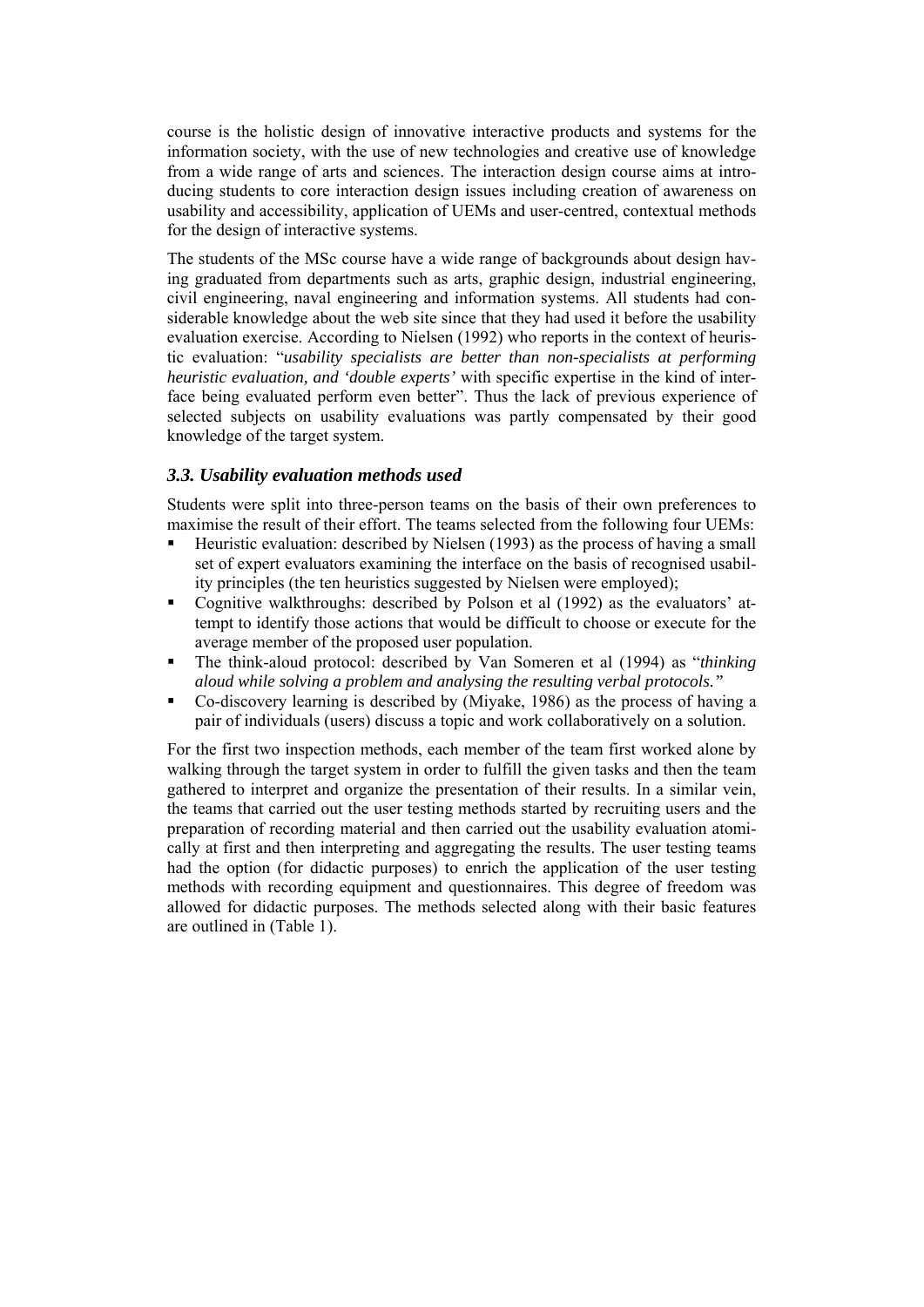course is the holistic design of innovative interactive products and systems for the information society, with the use of new technologies and creative use of knowledge from a wide range of arts and sciences. The interaction design course aims at introducing students to core interaction design issues including creation of awareness on usability and accessibility, application of UEMs and user-centred, contextual methods for the design of interactive systems.

The students of the MSc course have a wide range of backgrounds about design having graduated from departments such as arts, graphic design, industrial engineering, civil engineering, naval engineering and information systems. All students had considerable knowledge about the web site since that they had used it before the usability evaluation exercise. According to Nielsen (1992) who reports in the context of heuristic evaluation: "*usability specialists are better than non-specialists at performing heuristic evaluation, and 'double experts'* with specific expertise in the kind of interface being evaluated perform even better". Thus the lack of previous experience of selected subjects on usability evaluations was partly compensated by their good knowledge of the target system.

#### *3.3. Usability evaluation methods used*

Students were split into three-person teams on the basis of their own preferences to maximise the result of their effort. The teams selected from the following four UEMs:

- Heuristic evaluation: described by Nielsen (1993) as the process of having a small set of expert evaluators examining the interface on the basis of recognised usability principles (the ten heuristics suggested by Nielsen were employed);
- Cognitive walkthroughs: described by Polson et al (1992) as the evaluators' attempt to identify those actions that would be difficult to choose or execute for the average member of the proposed user population.
- The think-aloud protocol: described by Van Someren et al (1994) as "*thinking aloud while solving a problem and analysing the resulting verbal protocols."*
- Co-discovery learning is described by (Miyake, 1986) as the process of having a pair of individuals (users) discuss a topic and work collaboratively on a solution.

For the first two inspection methods, each member of the team first worked alone by walking through the target system in order to fulfill the given tasks and then the team gathered to interpret and organize the presentation of their results. In a similar vein, the teams that carried out the user testing methods started by recruiting users and the preparation of recording material and then carried out the usability evaluation atomically at first and then interpreting and aggregating the results. The user testing teams had the option (for didactic purposes) to enrich the application of the user testing methods with recording equipment and questionnaires. This degree of freedom was allowed for didactic purposes. The methods selected along with their basic features are outlined in (Table 1).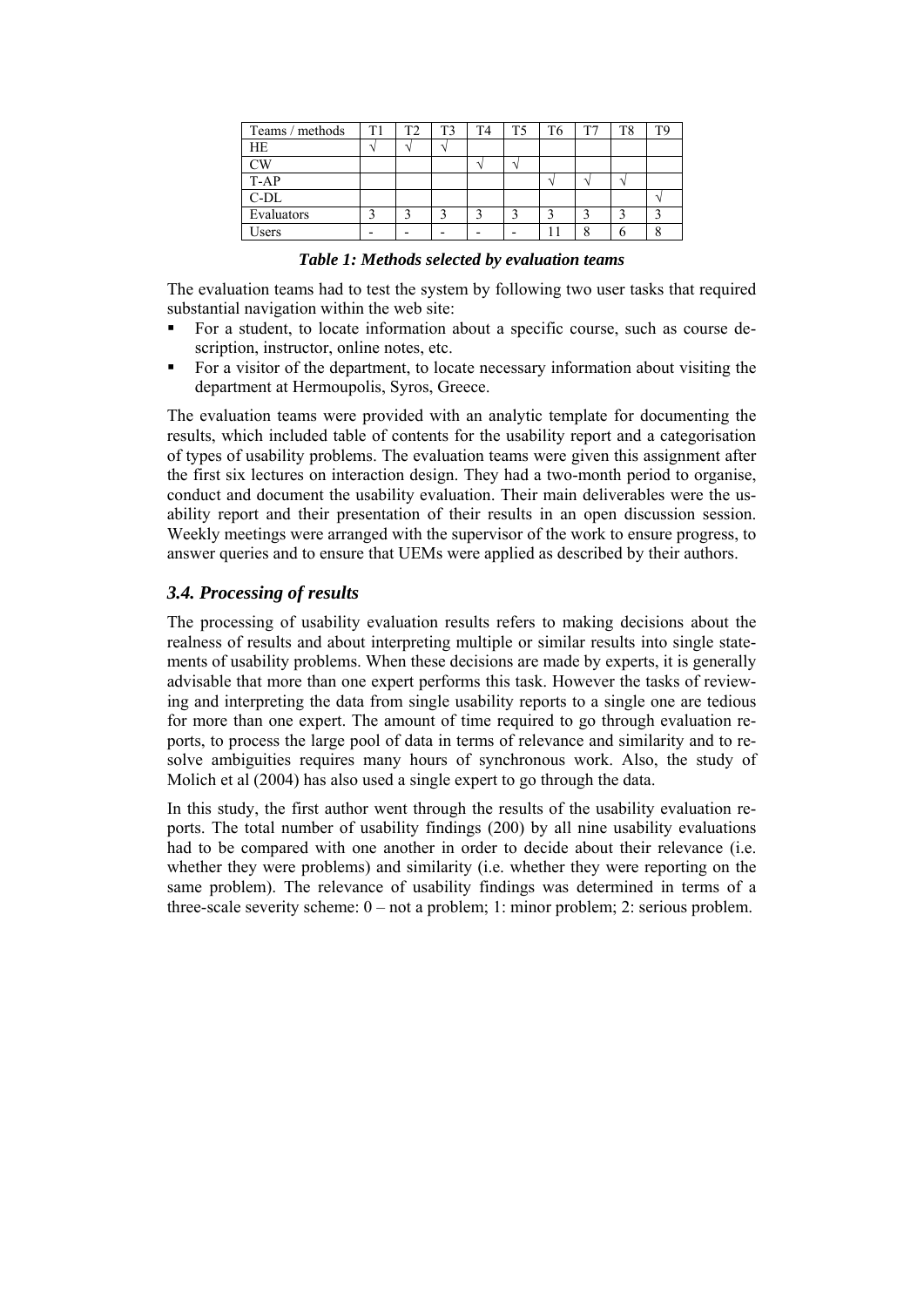| Teams / methods | <sup>T1</sup> | T2 | T <sub>3</sub> | T <sub>4</sub> | T <sub>5</sub> | T <sub>6</sub> | T <sub>7</sub> | T <sub>8</sub> | <b>TG</b> |
|-----------------|---------------|----|----------------|----------------|----------------|----------------|----------------|----------------|-----------|
| <b>HE</b>       |               |    |                |                |                |                |                |                |           |
| СW              |               |    |                |                |                |                |                |                |           |
| T-AP            |               |    |                |                |                |                |                |                |           |
| $C-DL$          |               |    |                |                |                |                |                |                |           |
| Evaluators      |               |    |                |                |                |                |                |                |           |
| Users           |               |    |                |                |                |                |                |                |           |

*Table 1: Methods selected by evaluation teams* 

The evaluation teams had to test the system by following two user tasks that required substantial navigation within the web site:

- For a student, to locate information about a specific course, such as course description, instructor, online notes, etc.
- For a visitor of the department, to locate necessary information about visiting the department at Hermoupolis, Syros, Greece.

The evaluation teams were provided with an analytic template for documenting the results, which included table of contents for the usability report and a categorisation of types of usability problems. The evaluation teams were given this assignment after the first six lectures on interaction design. They had a two-month period to organise, conduct and document the usability evaluation. Their main deliverables were the usability report and their presentation of their results in an open discussion session. Weekly meetings were arranged with the supervisor of the work to ensure progress, to answer queries and to ensure that UEMs were applied as described by their authors.

#### *3.4. Processing of results*

The processing of usability evaluation results refers to making decisions about the realness of results and about interpreting multiple or similar results into single statements of usability problems. When these decisions are made by experts, it is generally advisable that more than one expert performs this task. However the tasks of reviewing and interpreting the data from single usability reports to a single one are tedious for more than one expert. The amount of time required to go through evaluation reports, to process the large pool of data in terms of relevance and similarity and to resolve ambiguities requires many hours of synchronous work. Also, the study of Molich et al (2004) has also used a single expert to go through the data.

In this study, the first author went through the results of the usability evaluation reports. The total number of usability findings (200) by all nine usability evaluations had to be compared with one another in order to decide about their relevance (i.e. whether they were problems) and similarity (i.e. whether they were reporting on the same problem). The relevance of usability findings was determined in terms of a three-scale severity scheme: 0 – not a problem; 1: minor problem; 2: serious problem.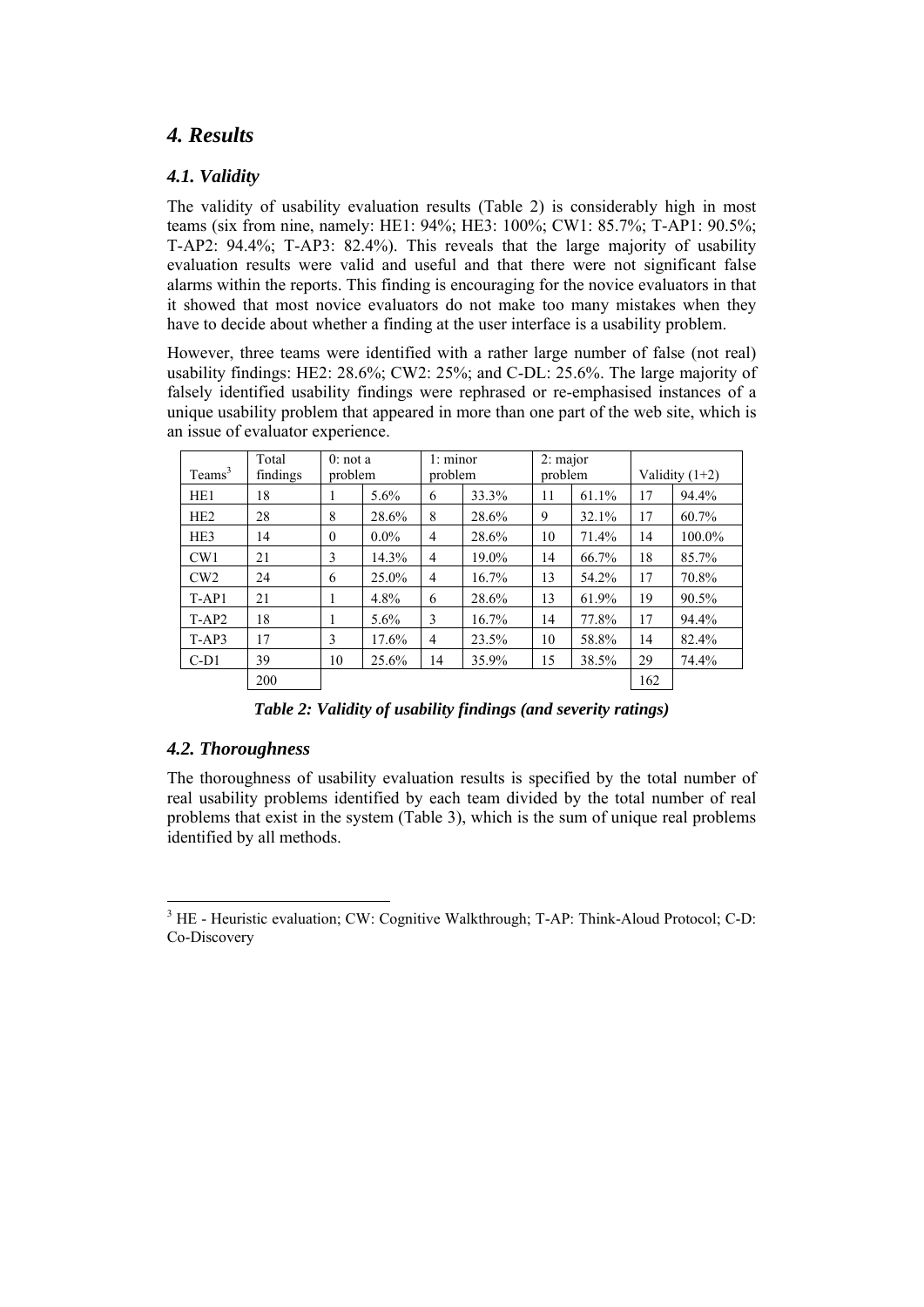# *4. Results*

### *4.1. Validity*

The validity of usability evaluation results (Table 2) is considerably high in most teams (six from nine, namely: HE1: 94%; HE3: 100%; CW1: 85.7%; T-AP1: 90.5%; T-AP2: 94.4%; T-AP3: 82.4%). This reveals that the large majority of usability evaluation results were valid and useful and that there were not significant false alarms within the reports. This finding is encouraging for the novice evaluators in that it showed that most novice evaluators do not make too many mistakes when they have to decide about whether a finding at the user interface is a usability problem.

However, three teams were identified with a rather large number of false (not real) usability findings: HE2: 28.6%; CW2: 25%; and C-DL: 25.6%. The large majority of falsely identified usability findings were rephrased or re-emphasised instances of a unique usability problem that appeared in more than one part of the web site, which is an issue of evaluator experience.

| Teams <sup>3</sup> | Total<br>findings | $0:$ not a<br>problem |         | 1: minor<br>problem |       | $2:$ major<br>problem |       | Validity $(1+2)$ |        |
|--------------------|-------------------|-----------------------|---------|---------------------|-------|-----------------------|-------|------------------|--------|
| HE1                | 18                | 1                     | $5.6\%$ | 6                   | 33.3% | 11                    | 61.1% | 17               | 94.4%  |
| HE <sub>2</sub>    | 28                | 8                     | 28.6%   | 8                   | 28.6% | 9                     | 32.1% | 17               | 60.7%  |
| HE3                | 14                | $\mathbf{0}$          | $0.0\%$ | $\overline{4}$      | 28.6% | 10                    | 71.4% | 14               | 100.0% |
| CW1                | 21                | 3                     | 14.3%   | $\overline{4}$      | 19.0% | 14                    | 66.7% | 18               | 85.7%  |
| CW2                | 24                | 6                     | 25.0%   | 4                   | 16.7% | 13                    | 54.2% | 17               | 70.8%  |
| $T-AP1$            | 21                | 1                     | 4.8%    | 6                   | 28.6% | 13                    | 61.9% | 19               | 90.5%  |
| $T-AP2$            | 18                | 1                     | $5.6\%$ | 3                   | 16.7% | 14                    | 77.8% | 17               | 94.4%  |
| $T-AP3$            | 17                | 3                     | 17.6%   | 4                   | 23.5% | 10                    | 58.8% | 14               | 82.4%  |
| $C-D1$             | 39                | 10                    | 25.6%   | 14                  | 35.9% | 15                    | 38.5% | 29               | 74.4%  |
|                    | 200               |                       |         |                     |       |                       |       | 162              |        |

*Table 2: Validity of usability findings (and severity ratings)* 

# *4.2. Thoroughness*

1

The thoroughness of usability evaluation results is specified by the total number of real usability problems identified by each team divided by the total number of real problems that exist in the system (Table 3), which is the sum of unique real problems identified by all methods.

<sup>&</sup>lt;sup>3</sup> HE - Heuristic evaluation; CW: Cognitive Walkthrough; T-AP: Think-Aloud Protocol; C-D: Co-Discovery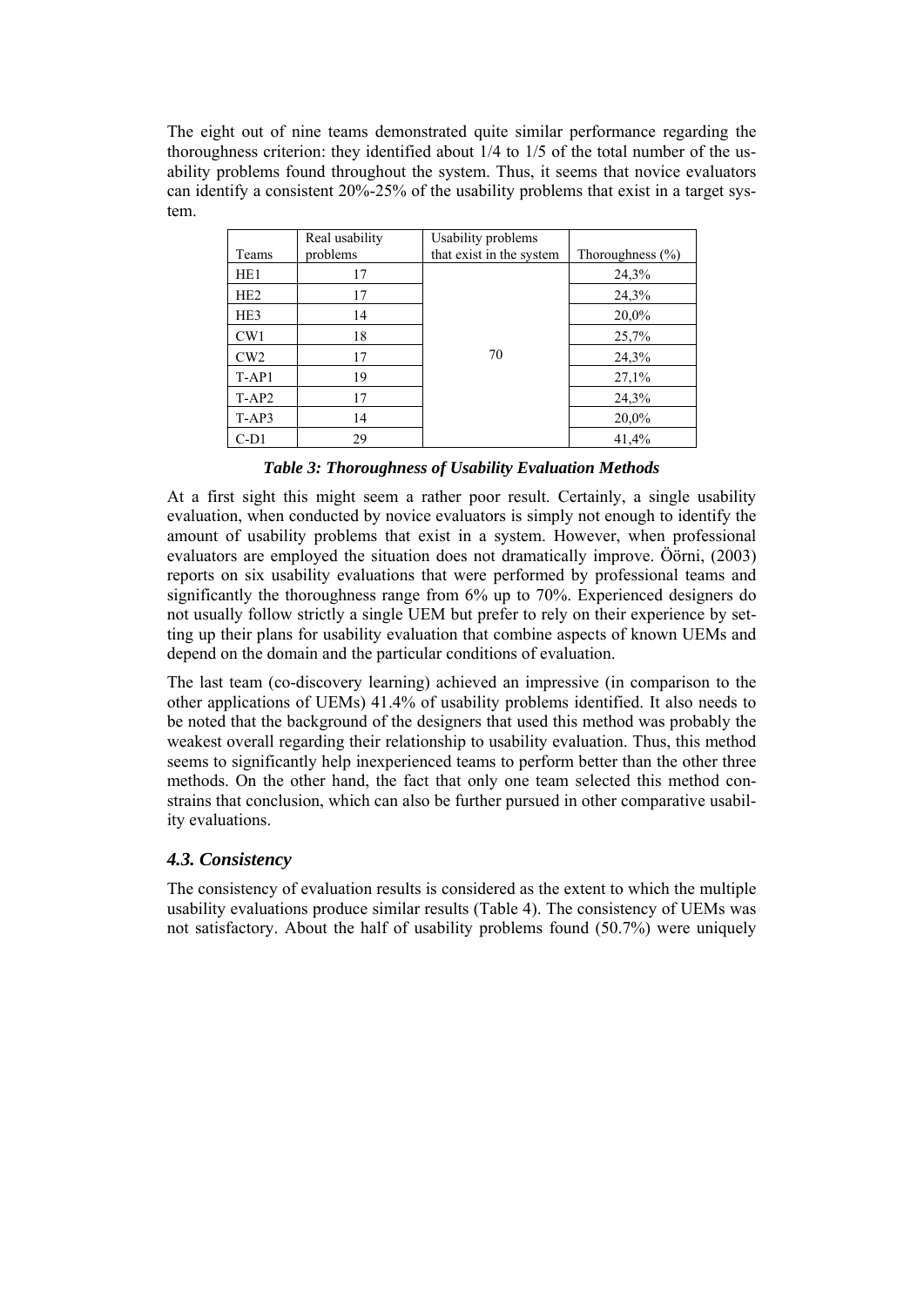The eight out of nine teams demonstrated quite similar performance regarding the thoroughness criterion: they identified about 1/4 to 1/5 of the total number of the usability problems found throughout the system. Thus, it seems that novice evaluators can identify a consistent 20%-25% of the usability problems that exist in a target system.

|                 | Real usability | Usability problems       |                      |
|-----------------|----------------|--------------------------|----------------------|
| Teams           | problems       | that exist in the system | Thoroughness $(\% )$ |
| HE <sub>1</sub> | 17             |                          | 24,3%                |
| HE <sub>2</sub> | 17             |                          | 24,3%                |
| HE3             | 14             |                          | 20,0%                |
| CW1             | 18             |                          | 25,7%                |
| CW2             | 17             | 70                       | 24,3%                |
| $T-AP1$         | 19             |                          | 27,1%                |
| $T-AP2$         | 17             |                          | 24,3%                |
| $T-AP3$         | 14             |                          | 20,0%                |
| $C-D1$          | 29             |                          | 41,4%                |

*Table 3: Thoroughness of Usability Evaluation Methods* 

At a first sight this might seem a rather poor result. Certainly, a single usability evaluation, when conducted by novice evaluators is simply not enough to identify the amount of usability problems that exist in a system. However, when professional evaluators are employed the situation does not dramatically improve. Öörni, (2003) reports on six usability evaluations that were performed by professional teams and significantly the thoroughness range from 6% up to 70%. Experienced designers do not usually follow strictly a single UEM but prefer to rely on their experience by setting up their plans for usability evaluation that combine aspects of known UEMs and depend on the domain and the particular conditions of evaluation.

The last team (co-discovery learning) achieved an impressive (in comparison to the other applications of UEMs) 41.4% of usability problems identified. It also needs to be noted that the background of the designers that used this method was probably the weakest overall regarding their relationship to usability evaluation. Thus, this method seems to significantly help inexperienced teams to perform better than the other three methods. On the other hand, the fact that only one team selected this method constrains that conclusion, which can also be further pursued in other comparative usability evaluations.

### *4.3. Consistency*

The consistency of evaluation results is considered as the extent to which the multiple usability evaluations produce similar results (Table 4). The consistency of UEMs was not satisfactory. About the half of usability problems found (50.7%) were uniquely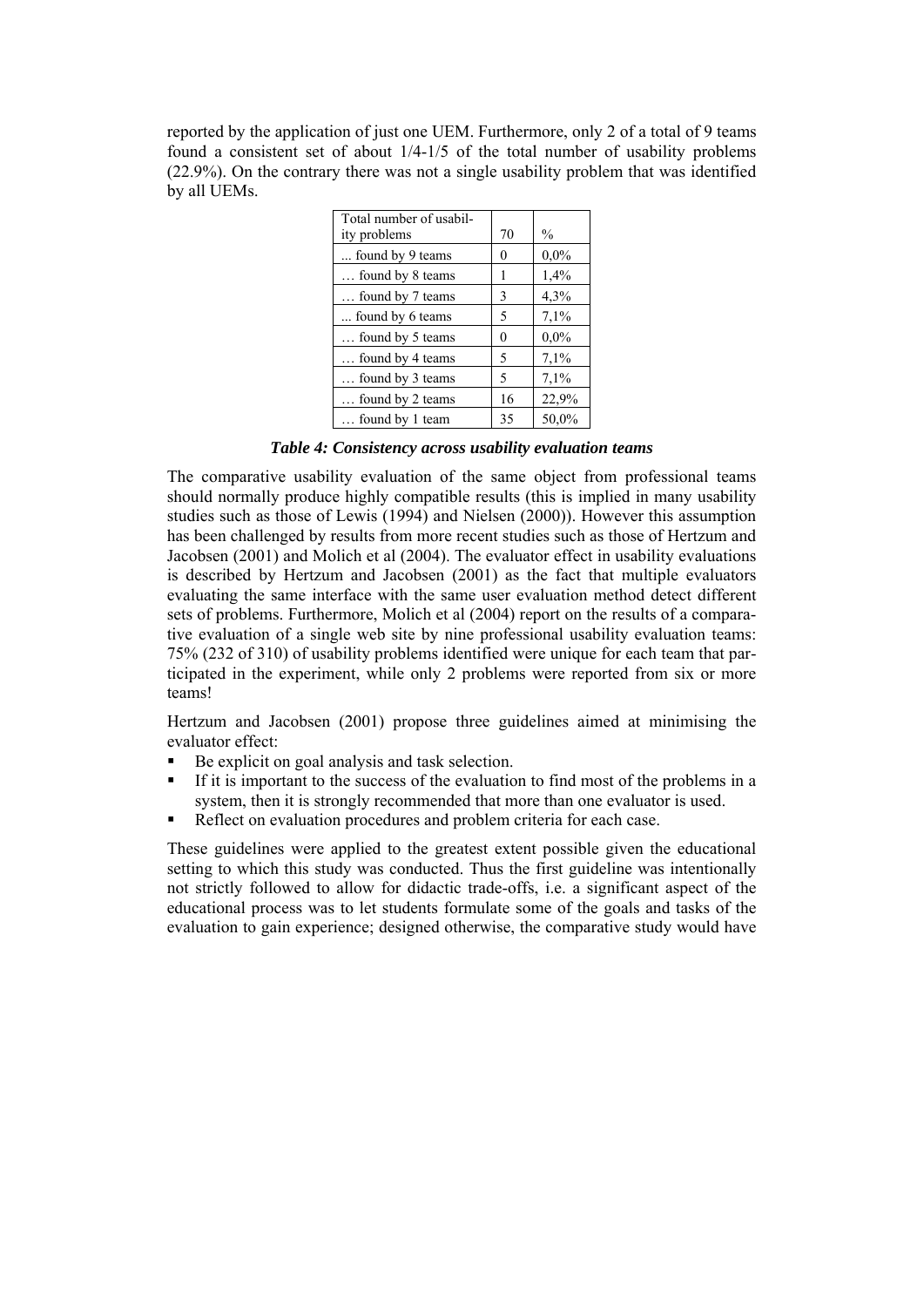reported by the application of just one UEM. Furthermore, only 2 of a total of 9 teams found a consistent set of about 1/4-1/5 of the total number of usability problems (22.9%). On the contrary there was not a single usability problem that was identified by all UEMs.

| Total number of usabil-<br>ity problems | 70 | $\frac{0}{0}$ |
|-----------------------------------------|----|---------------|
| found by 9 teams                        | 0  | 0,0%          |
| found by 8 teams                        | 1  | 1,4%          |
| found by 7 teams                        | 3  | 4,3%          |
| found by 6 teams                        | 5  | 7,1%          |
| found by 5 teams                        | 0  | 0,0%          |
| found by 4 teams                        | 5  | 7,1%          |
| found by 3 teams                        | 5  | 7,1%          |
| found by 2 teams                        | 16 | 22,9%         |
| found by 1 team                         | 35 | 50,0%         |

*Table 4: Consistency across usability evaluation teams* 

The comparative usability evaluation of the same object from professional teams should normally produce highly compatible results (this is implied in many usability studies such as those of Lewis (1994) and Nielsen (2000)). However this assumption has been challenged by results from more recent studies such as those of Hertzum and Jacobsen (2001) and Molich et al (2004). The evaluator effect in usability evaluations is described by Hertzum and Jacobsen (2001) as the fact that multiple evaluators evaluating the same interface with the same user evaluation method detect different sets of problems. Furthermore, Molich et al (2004) report on the results of a comparative evaluation of a single web site by nine professional usability evaluation teams: 75% (232 of 310) of usability problems identified were unique for each team that participated in the experiment, while only 2 problems were reported from six or more teams!

Hertzum and Jacobsen (2001) propose three guidelines aimed at minimising the evaluator effect:

- Be explicit on goal analysis and task selection.
- If it is important to the success of the evaluation to find most of the problems in a system, then it is strongly recommended that more than one evaluator is used.
- Reflect on evaluation procedures and problem criteria for each case.

These guidelines were applied to the greatest extent possible given the educational setting to which this study was conducted. Thus the first guideline was intentionally not strictly followed to allow for didactic trade-offs, i.e. a significant aspect of the educational process was to let students formulate some of the goals and tasks of the evaluation to gain experience; designed otherwise, the comparative study would have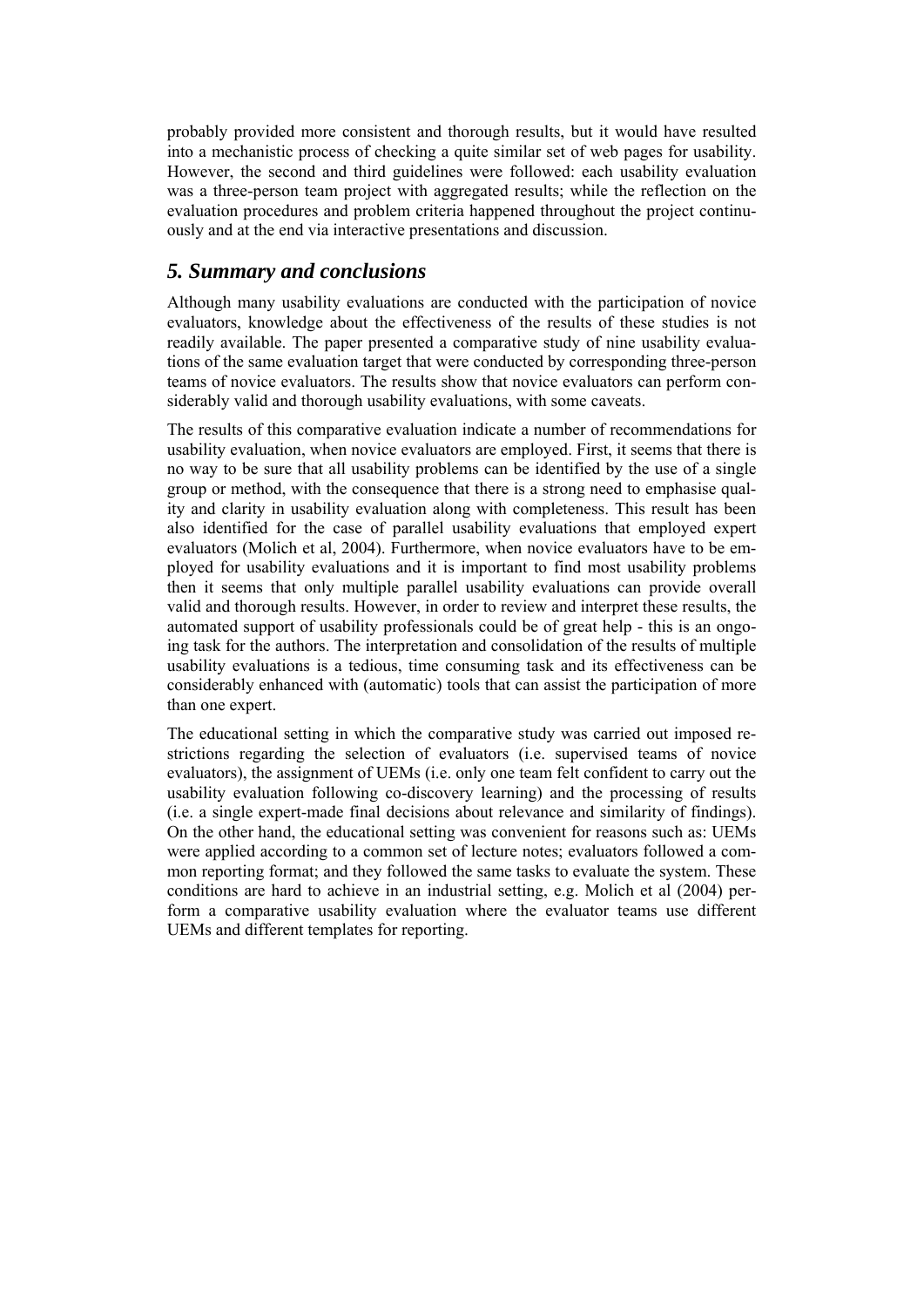probably provided more consistent and thorough results, but it would have resulted into a mechanistic process of checking a quite similar set of web pages for usability. However, the second and third guidelines were followed: each usability evaluation was a three-person team project with aggregated results; while the reflection on the evaluation procedures and problem criteria happened throughout the project continuously and at the end via interactive presentations and discussion.

### *5. Summary and conclusions*

Although many usability evaluations are conducted with the participation of novice evaluators, knowledge about the effectiveness of the results of these studies is not readily available. The paper presented a comparative study of nine usability evaluations of the same evaluation target that were conducted by corresponding three-person teams of novice evaluators. The results show that novice evaluators can perform considerably valid and thorough usability evaluations, with some caveats.

The results of this comparative evaluation indicate a number of recommendations for usability evaluation, when novice evaluators are employed. First, it seems that there is no way to be sure that all usability problems can be identified by the use of a single group or method, with the consequence that there is a strong need to emphasise quality and clarity in usability evaluation along with completeness. This result has been also identified for the case of parallel usability evaluations that employed expert evaluators (Molich et al, 2004). Furthermore, when novice evaluators have to be employed for usability evaluations and it is important to find most usability problems then it seems that only multiple parallel usability evaluations can provide overall valid and thorough results. However, in order to review and interpret these results, the automated support of usability professionals could be of great help - this is an ongoing task for the authors. The interpretation and consolidation of the results of multiple usability evaluations is a tedious, time consuming task and its effectiveness can be considerably enhanced with (automatic) tools that can assist the participation of more than one expert.

The educational setting in which the comparative study was carried out imposed restrictions regarding the selection of evaluators (i.e. supervised teams of novice evaluators), the assignment of UEMs (i.e. only one team felt confident to carry out the usability evaluation following co-discovery learning) and the processing of results (i.e. a single expert-made final decisions about relevance and similarity of findings). On the other hand, the educational setting was convenient for reasons such as: UEMs were applied according to a common set of lecture notes; evaluators followed a common reporting format; and they followed the same tasks to evaluate the system. These conditions are hard to achieve in an industrial setting, e.g. Molich et al (2004) perform a comparative usability evaluation where the evaluator teams use different UEMs and different templates for reporting.